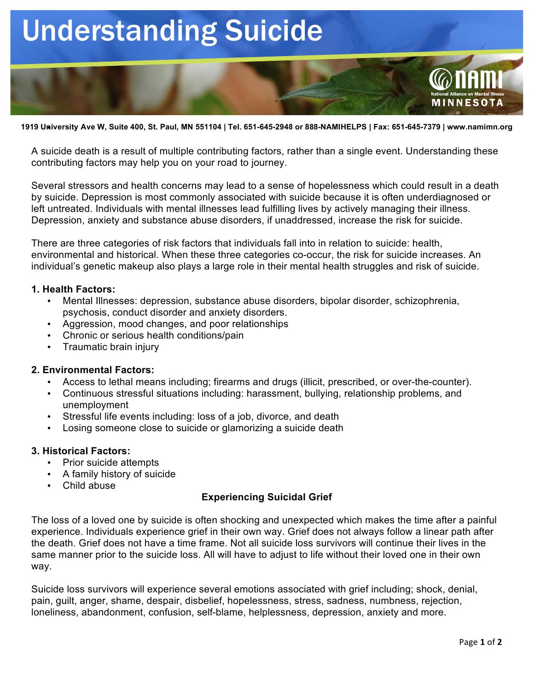# Understanding Suicide



A suicide death is a result of multiple contributing factors, rather than a single event. Understanding these contributing factors may help you on your road to journey.

Several stressors and health concerns may lead to a sense of hopelessness which could result in a death by suicide. Depression is most commonly associated with suicide because it is often underdiagnosed or left untreated. Individuals with mental illnesses lead fulfilling lives by actively managing their illness. Depression, anxiety and substance abuse disorders, if unaddressed, increase the risk for suicide.

There are three categories of risk factors that individuals fall into in relation to suicide: health, environmental and historical. When these three categories co-occur, the risk for suicide increases. An individual's genetic makeup also plays a large role in their mental health struggles and risk of suicide.

### **1. Health Factors:**

- Mental Illnesses: depression, substance abuse disorders, bipolar disorder, schizophrenia, psychosis, conduct disorder and anxiety disorders.
- Aggression, mood changes, and poor relationships
- Chronic or serious health conditions/pain
- Traumatic brain injury

## **2. Environmental Factors:**

- Access to lethal means including; firearms and drugs (illicit, prescribed, or over-the-counter).
- Continuous stressful situations including: harassment, bullying, relationship problems, and unemployment
- Stressful life events including: loss of a job, divorce, and death
- Losing someone close to suicide or glamorizing a suicide death

#### **3. Historical Factors:**

- Prior suicide attempts
- A family history of suicide
- Child abuse

## **Experiencing Suicidal Grief**

The loss of a loved one by suicide is often shocking and unexpected which makes the time after a painful experience. Individuals experience grief in their own way. Grief does not always follow a linear path after the death. Grief does not have a time frame. Not all suicide loss survivors will continue their lives in the same manner prior to the suicide loss. All will have to adjust to life without their loved one in their own way.

Suicide loss survivors will experience several emotions associated with grief including; shock, denial, pain, guilt, anger, shame, despair, disbelief, hopelessness, stress, sadness, numbness, rejection, loneliness, abandonment, confusion, self-blame, helplessness, depression, anxiety and more.